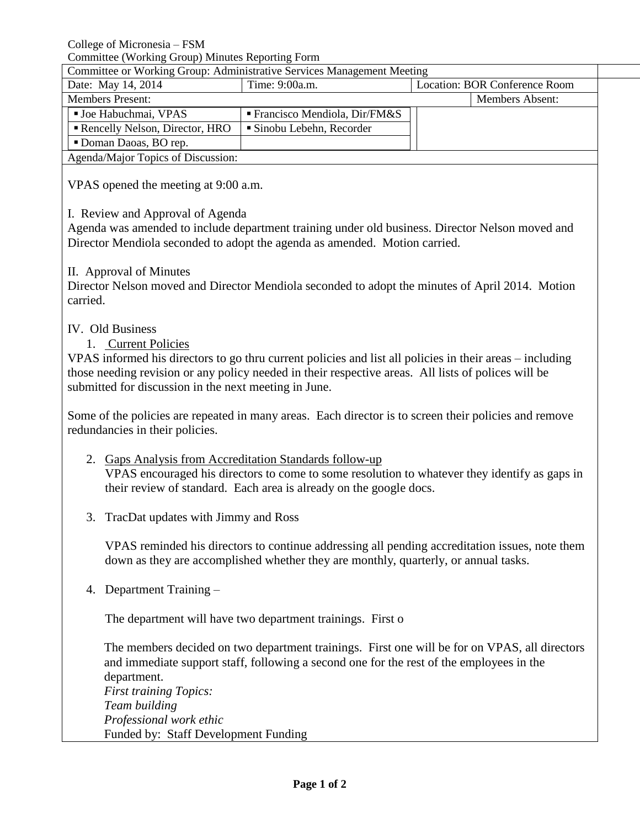College of Micronesia – FSM

Committee (Working Group) Minutes Reporting Form

| Committee or Working Group: Administrative Services Management Meeting |                                         |                               |                        |
|------------------------------------------------------------------------|-----------------------------------------|-------------------------------|------------------------|
| Date: May 14, 2014                                                     | Time: 9:00a.m.                          | Location: BOR Conference Room |                        |
| <b>Members Present:</b>                                                |                                         |                               | <b>Members Absent:</b> |
| <b>Joe Habuchmai, VPAS</b>                                             | <b>Francisco Mendiola, Dir/FM&amp;S</b> |                               |                        |
| Rencelly Nelson, Director, HRO                                         | $\blacksquare$ Sinobu Lebehn, Recorder  |                               |                        |
| Doman Daoas, BO rep.                                                   |                                         |                               |                        |
| Agenda/Major Topics of Discussion:                                     |                                         |                               |                        |

VPAS opened the meeting at 9:00 a.m.

# I. Review and Approval of Agenda

Agenda was amended to include department training under old business. Director Nelson moved and Director Mendiola seconded to adopt the agenda as amended. Motion carried.

## II. Approval of Minutes

Director Nelson moved and Director Mendiola seconded to adopt the minutes of April 2014. Motion carried.

## IV. Old Business

## 1. Current Policies

VPAS informed his directors to go thru current policies and list all policies in their areas – including those needing revision or any policy needed in their respective areas. All lists of polices will be submitted for discussion in the next meeting in June.

Some of the policies are repeated in many areas. Each director is to screen their policies and remove redundancies in their policies.

- 2. Gaps Analysis from Accreditation Standards follow-up VPAS encouraged his directors to come to some resolution to whatever they identify as gaps in their review of standard. Each area is already on the google docs.
- 3. TracDat updates with Jimmy and Ross

VPAS reminded his directors to continue addressing all pending accreditation issues, note them down as they are accomplished whether they are monthly, quarterly, or annual tasks.

4. Department Training –

The department will have two department trainings. First o

The members decided on two department trainings. First one will be for on VPAS, all directors and immediate support staff, following a second one for the rest of the employees in the department. *First training Topics: Team building Professional work ethic*

Funded by: Staff Development Funding